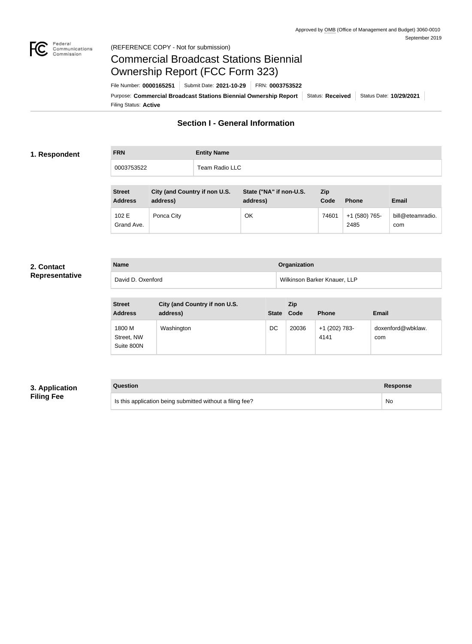

#### Federal<br>Communications<br>Commission (REFERENCE COPY - Not for submission)

# Commercial Broadcast Stations Biennial Ownership Report (FCC Form 323)

Filing Status: **Active** Purpose: Commercial Broadcast Stations Biennial Ownership Report Status: Received | Status Date: 10/29/2021 File Number: **0000165251** Submit Date: **2021-10-29** FRN: **0003753522**

## **Section I - General Information**

#### **1. Respondent**

**FRN Entity Name** 0003753522 Team Radio LLC

| <b>Street</b><br><b>Address</b> | City (and Country if non U.S.<br>address) | State ("NA" if non-U.S.<br>address) | <b>Zip</b><br>Code | <b>Phone</b>          | Email                   |
|---------------------------------|-------------------------------------------|-------------------------------------|--------------------|-----------------------|-------------------------|
| 102 E<br>Grand Ave.             | Ponca City                                | OK                                  | 74601              | +1 (580) 765-<br>2485 | bill@eteamradio.<br>com |

#### **2. Contact Representative**

| <b>Name</b>       | Organization                 |
|-------------------|------------------------------|
| David D. Oxenford | Wilkinson Barker Knauer, LLP |

| <b>Street</b><br><b>Address</b>    | City (and Country if non U.S.<br>address) | State Code | Zip   | <b>Phone</b>          | <b>Email</b>             |
|------------------------------------|-------------------------------------------|------------|-------|-----------------------|--------------------------|
| 1800 M<br>Street, NW<br>Suite 800N | Washington                                | DC         | 20036 | +1 (202) 783-<br>4141 | doxenford@wbklaw.<br>com |

#### **3. Application Filing Fee**

#### **Question Response**

Is this application being submitted without a filing fee? No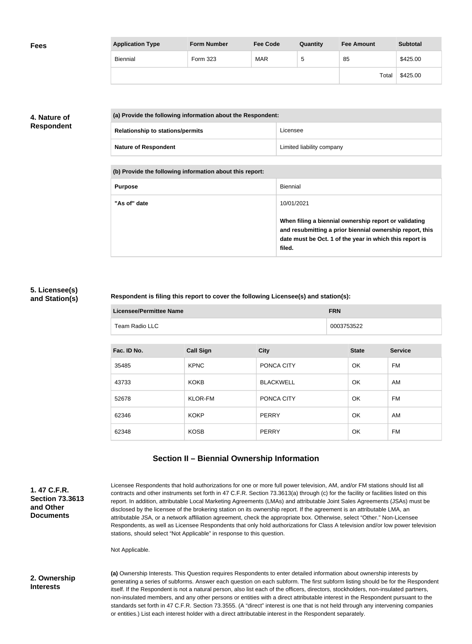| <b>Fees</b> | <b>Application Type</b> | <b>Form Number</b> | <b>Fee Code</b> | Quantity | <b>Fee Amount</b> | <b>Subtotal</b> |
|-------------|-------------------------|--------------------|-----------------|----------|-------------------|-----------------|
|             | Biennial                | Form 323           | MAR             | ა        | 85                | \$425.00        |
|             |                         |                    |                 |          | Total             | \$425.00        |

#### **4. Nature of Respondent**

| (a) Provide the following information about the Respondent: |                           |  |
|-------------------------------------------------------------|---------------------------|--|
| <b>Relationship to stations/permits</b>                     | Licensee                  |  |
| <b>Nature of Respondent</b>                                 | Limited liability company |  |

**(b) Provide the following information about this report:**

| <b>Purpose</b> | Biennial                                                                                                                                                                               |
|----------------|----------------------------------------------------------------------------------------------------------------------------------------------------------------------------------------|
| "As of" date   | 10/01/2021                                                                                                                                                                             |
|                | When filing a biennial ownership report or validating<br>and resubmitting a prior biennial ownership report, this<br>date must be Oct. 1 of the year in which this report is<br>filed. |

#### **5. Licensee(s) and Station(s)**

×

#### **Respondent is filing this report to cover the following Licensee(s) and station(s):**

| Licensee/Permittee Name | <b>FRN</b> |
|-------------------------|------------|
| Team Radio LLC          | 0003753522 |

| Fac. ID No. | <b>Call Sign</b> | <b>City</b>      | <b>State</b> | <b>Service</b> |
|-------------|------------------|------------------|--------------|----------------|
| 35485       | <b>KPNC</b>      | PONCA CITY       | OK           | FM             |
| 43733       | <b>KOKB</b>      | <b>BLACKWELL</b> | <b>OK</b>    | AM             |
| 52678       | KLOR-FM          | PONCA CITY       | OK           | FM             |
| 62346       | <b>KOKP</b>      | PERRY            | <b>OK</b>    | AM             |
| 62348       | <b>KOSB</b>      | PERRY            | OK           | <b>FM</b>      |

## **Section II – Biennial Ownership Information**

| 1.47 C.F.R.<br><b>Section 73,3613</b><br>and Other<br><b>Documents</b> | Licensee Respondents that hold authorizations for one or more full power television, AM, and/or FM stations should list all<br>contracts and other instruments set forth in 47 C.F.R. Section 73.3613(a) through (c) for the facility or facilities listed on this<br>report. In addition, attributable Local Marketing Agreements (LMAs) and attributable Joint Sales Agreements (JSAs) must be<br>disclosed by the licensee of the brokering station on its ownership report. If the agreement is an attributable LMA, an<br>attributable JSA, or a network affiliation agreement, check the appropriate box. Otherwise, select "Other." Non-Licensee<br>Respondents, as well as Licensee Respondents that only hold authorizations for Class A television and/or low power television<br>stations, should select "Not Applicable" in response to this question. |
|------------------------------------------------------------------------|--------------------------------------------------------------------------------------------------------------------------------------------------------------------------------------------------------------------------------------------------------------------------------------------------------------------------------------------------------------------------------------------------------------------------------------------------------------------------------------------------------------------------------------------------------------------------------------------------------------------------------------------------------------------------------------------------------------------------------------------------------------------------------------------------------------------------------------------------------------------|
|                                                                        | Not Applicable.                                                                                                                                                                                                                                                                                                                                                                                                                                                                                                                                                                                                                                                                                                                                                                                                                                                    |
| 2. Ownership<br><b>Interests</b>                                       | (a) Ownership Interests. This Question requires Respondents to enter detailed information about ownership interests by<br>generating a series of subforms. Answer each question on each subform. The first subform listing should be for the Respondent<br>itself. If the Respondent is not a natural person, also list each of the officers, directors, stockholders, non-insulated partners,<br>non-insulated members, and any other persons or entities with a direct attributable interest in the Respondent pursuant to the<br>standards set forth in 47 C.F.R. Section 73.3555. (A "direct" interest is one that is not held through any intervening companies<br>or entities.) List each interest holder with a direct attributable interest in the Respondent separately.                                                                                  |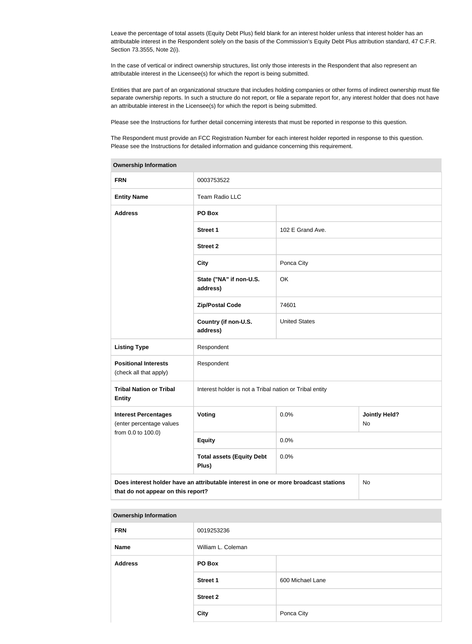Leave the percentage of total assets (Equity Debt Plus) field blank for an interest holder unless that interest holder has an attributable interest in the Respondent solely on the basis of the Commission's Equity Debt Plus attribution standard, 47 C.F.R. Section 73.3555, Note 2(i).

In the case of vertical or indirect ownership structures, list only those interests in the Respondent that also represent an attributable interest in the Licensee(s) for which the report is being submitted.

Entities that are part of an organizational structure that includes holding companies or other forms of indirect ownership must file separate ownership reports. In such a structure do not report, or file a separate report for, any interest holder that does not have an attributable interest in the Licensee(s) for which the report is being submitted.

Please see the Instructions for further detail concerning interests that must be reported in response to this question.

The Respondent must provide an FCC Registration Number for each interest holder reported in response to this question. Please see the Instructions for detailed information and guidance concerning this requirement.

| <b>Ownership Information</b>                                                                                                     |                                                         |                      |                            |  |
|----------------------------------------------------------------------------------------------------------------------------------|---------------------------------------------------------|----------------------|----------------------------|--|
| <b>FRN</b>                                                                                                                       | 0003753522                                              |                      |                            |  |
| <b>Entity Name</b>                                                                                                               | Team Radio LLC                                          |                      |                            |  |
| <b>Address</b>                                                                                                                   | PO Box                                                  |                      |                            |  |
|                                                                                                                                  | <b>Street 1</b>                                         | 102 E Grand Ave.     |                            |  |
|                                                                                                                                  | <b>Street 2</b>                                         |                      |                            |  |
|                                                                                                                                  | <b>City</b>                                             | Ponca City           |                            |  |
|                                                                                                                                  | State ("NA" if non-U.S.<br>address)                     | OK                   |                            |  |
|                                                                                                                                  | <b>Zip/Postal Code</b>                                  | 74601                |                            |  |
|                                                                                                                                  | Country (if non-U.S.<br>address)                        | <b>United States</b> |                            |  |
| <b>Listing Type</b>                                                                                                              | Respondent                                              |                      |                            |  |
| <b>Positional Interests</b><br>(check all that apply)                                                                            | Respondent                                              |                      |                            |  |
| <b>Tribal Nation or Tribal</b><br><b>Entity</b>                                                                                  | Interest holder is not a Tribal nation or Tribal entity |                      |                            |  |
| <b>Interest Percentages</b><br>(enter percentage values                                                                          | Voting                                                  | 0.0%                 | <b>Jointly Held?</b><br>No |  |
| from 0.0 to 100.0)                                                                                                               | <b>Equity</b>                                           | 0.0%                 |                            |  |
|                                                                                                                                  | <b>Total assets (Equity Debt</b><br>Plus)               | 0.0%                 |                            |  |
| Does interest holder have an attributable interest in one or more broadcast stations<br>No<br>that do not appear on this report? |                                                         |                      |                            |  |

#### **Ownership Information**

| <b>FRN</b>     | 0019253236         |                  |  |
|----------------|--------------------|------------------|--|
| Name           | William L. Coleman |                  |  |
| <b>Address</b> | PO Box             |                  |  |
|                | <b>Street 1</b>    | 600 Michael Lane |  |
|                | <b>Street 2</b>    |                  |  |
|                | <b>City</b>        | Ponca City       |  |
|                |                    |                  |  |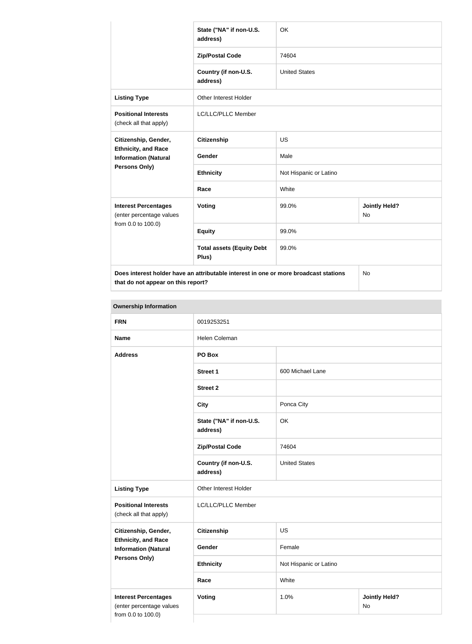|                                                           | State ("NA" if non-U.S.<br>address)                                                  | OK                     |                                   |  |
|-----------------------------------------------------------|--------------------------------------------------------------------------------------|------------------------|-----------------------------------|--|
|                                                           | <b>Zip/Postal Code</b>                                                               | 74604                  |                                   |  |
|                                                           | Country (if non-U.S.<br>address)                                                     | <b>United States</b>   |                                   |  |
| <b>Listing Type</b>                                       | <b>Other Interest Holder</b>                                                         |                        |                                   |  |
| <b>Positional Interests</b><br>(check all that apply)     | LC/LLC/PLLC Member                                                                   |                        |                                   |  |
| Citizenship, Gender,                                      | <b>Citizenship</b>                                                                   | <b>US</b>              |                                   |  |
| <b>Ethnicity, and Race</b><br><b>Information (Natural</b> | Gender                                                                               | Male                   |                                   |  |
| Persons Only)                                             | <b>Ethnicity</b>                                                                     | Not Hispanic or Latino |                                   |  |
|                                                           | Race                                                                                 | White                  |                                   |  |
| <b>Interest Percentages</b><br>(enter percentage values   | Voting                                                                               | 99.0%                  | <b>Jointly Held?</b><br><b>No</b> |  |
| from 0.0 to 100.0)                                        | <b>Equity</b>                                                                        | 99.0%                  |                                   |  |
|                                                           | <b>Total assets (Equity Debt</b><br>Plus)                                            | 99.0%                  |                                   |  |
|                                                           | Does interest holder have an attributable interest in one or more broadcast stations |                        | <b>No</b>                         |  |

**that do not appear on this report?**

**Ownership Information FRN** 0019253251 Name Helen Coleman **Address PO Box Street 1** 600 Michael Lane **Street 2 City Ponca City State ("NA" if non-U.S. address)** OK **Zip/Postal Code** 74604 **Country (if non-U.S. address)** United States **Listing Type Circuit** Other Interest Holder **Positional Interests** (check all that apply) LC/LLC/PLLC Member **Citizenship, Gender, Ethnicity, and Race Information (Natural Persons Only) Citizenship** US Gender Female **Ethnicity** Not Hispanic or Latino **Race** White **Interest Percentages** (enter percentage values from 0.0 to 100.0) **Voting 1.0% 1.0% and 1.0% and 1.0% and 1.0% and 1.0% and 1.0% and 1.0% and 1.0% and 1.0% and 1.0% and 1.0% and 1.0% and 1.0% and 1.0% and 1.0% and 1.0% and 1.0% and 1.0% and 1.0% and 1.0% and 1.0% and 1.0% and 1.0% and 1.** No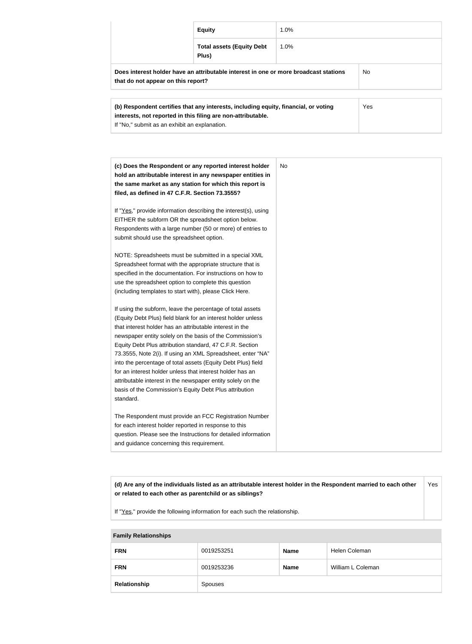|                                                                                                                                   | <b>Equity</b>                             | 1.0%    |  |
|-----------------------------------------------------------------------------------------------------------------------------------|-------------------------------------------|---------|--|
|                                                                                                                                   | <b>Total assets (Equity Debt</b><br>Plus) | $1.0\%$ |  |
| Does interest holder have an attributable interest in one or more broadcast stations<br>No.<br>that do not appear on this report? |                                           |         |  |
| Yes<br>(b) Respondent certifies that any interests, including equity, financial, or voting                                        |                                           |         |  |

| (b) Respondent certifies that any interests, including equity, financial, or voting | <b>Yes</b> |
|-------------------------------------------------------------------------------------|------------|
| interests, not reported in this filing are non-attributable.                        |            |
| If "No," submit as an exhibit an explanation.                                       |            |

| (c) Does the Respondent or any reported interest holder<br>hold an attributable interest in any newspaper entities in<br>the same market as any station for which this report is<br>filed, as defined in 47 C.F.R. Section 73.3555?                                                                                                                                                                                                                                                                                                                                                                                                              | No |
|--------------------------------------------------------------------------------------------------------------------------------------------------------------------------------------------------------------------------------------------------------------------------------------------------------------------------------------------------------------------------------------------------------------------------------------------------------------------------------------------------------------------------------------------------------------------------------------------------------------------------------------------------|----|
| If "Yes," provide information describing the interest(s), using<br>EITHER the subform OR the spreadsheet option below.<br>Respondents with a large number (50 or more) of entries to<br>submit should use the spreadsheet option.                                                                                                                                                                                                                                                                                                                                                                                                                |    |
| NOTE: Spreadsheets must be submitted in a special XML<br>Spreadsheet format with the appropriate structure that is<br>specified in the documentation. For instructions on how to<br>use the spreadsheet option to complete this question<br>(including templates to start with), please Click Here.                                                                                                                                                                                                                                                                                                                                              |    |
| If using the subform, leave the percentage of total assets<br>(Equity Debt Plus) field blank for an interest holder unless<br>that interest holder has an attributable interest in the<br>newspaper entity solely on the basis of the Commission's<br>Equity Debt Plus attribution standard, 47 C.F.R. Section<br>73.3555, Note 2(i). If using an XML Spreadsheet, enter "NA"<br>into the percentage of total assets (Equity Debt Plus) field<br>for an interest holder unless that interest holder has an<br>attributable interest in the newspaper entity solely on the<br>basis of the Commission's Equity Debt Plus attribution<br>standard. |    |
| The Respondent must provide an FCC Registration Number<br>for each interest holder reported in response to this<br>question. Please see the Instructions for detailed information<br>and guidance concerning this requirement.                                                                                                                                                                                                                                                                                                                                                                                                                   |    |

**(d) Are any of the individuals listed as an attributable interest holder in the Respondent married to each other or related to each other as parentchild or as siblings?** Yes

If "Yes," provide the following information for each such the relationship.

| <b>Family Relationships</b> |            |             |                   |  |
|-----------------------------|------------|-------------|-------------------|--|
| <b>FRN</b>                  | 0019253251 | <b>Name</b> | Helen Coleman     |  |
| <b>FRN</b>                  | 0019253236 | <b>Name</b> | William L Coleman |  |
| Relationship                | Spouses    |             |                   |  |

#### **Family Relationships**